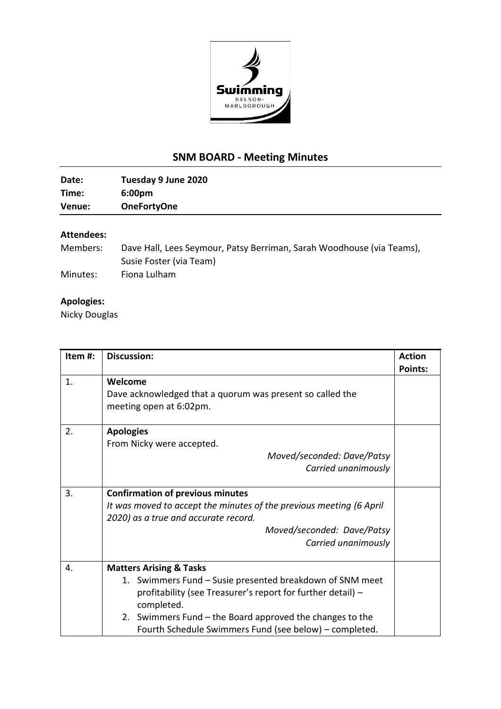

## **SNM BOARD - Meeting Minutes**

| Date:  | Tuesday 9 June 2020 |
|--------|---------------------|
| Time:  | 6:00 <sub>pm</sub>  |
| Venue: | <b>OneFortyOne</b>  |

## **Attendees:**

| Members: | Dave Hall, Lees Seymour, Patsy Berriman, Sarah Woodhouse (via Teams), |
|----------|-----------------------------------------------------------------------|
|          | Susie Foster (via Team)                                               |
| Minutes: | Fiona Lulham                                                          |

## **Apologies:**

Nicky Douglas

| Item #: | <b>Discussion:</b>                                                  | <b>Action</b>  |
|---------|---------------------------------------------------------------------|----------------|
|         |                                                                     | <b>Points:</b> |
| 1.      | Welcome                                                             |                |
|         | Dave acknowledged that a quorum was present so called the           |                |
|         | meeting open at 6:02pm.                                             |                |
|         |                                                                     |                |
| 2.      | <b>Apologies</b>                                                    |                |
|         | From Nicky were accepted.                                           |                |
|         | Moved/seconded: Dave/Patsy                                          |                |
|         | Carried unanimously                                                 |                |
|         |                                                                     |                |
| 3.      | <b>Confirmation of previous minutes</b>                             |                |
|         | It was moved to accept the minutes of the previous meeting (6 April |                |
|         | 2020) as a true and accurate record.                                |                |
|         | Moved/seconded: Dave/Patsy                                          |                |
|         | Carried unanimously                                                 |                |
|         |                                                                     |                |
| 4.      | <b>Matters Arising &amp; Tasks</b>                                  |                |
|         | 1. Swimmers Fund – Susie presented breakdown of SNM meet            |                |
|         | profitability (see Treasurer's report for further detail) -         |                |
|         | completed.                                                          |                |
|         | 2. Swimmers Fund – the Board approved the changes to the            |                |
|         | Fourth Schedule Swimmers Fund (see below) - completed.              |                |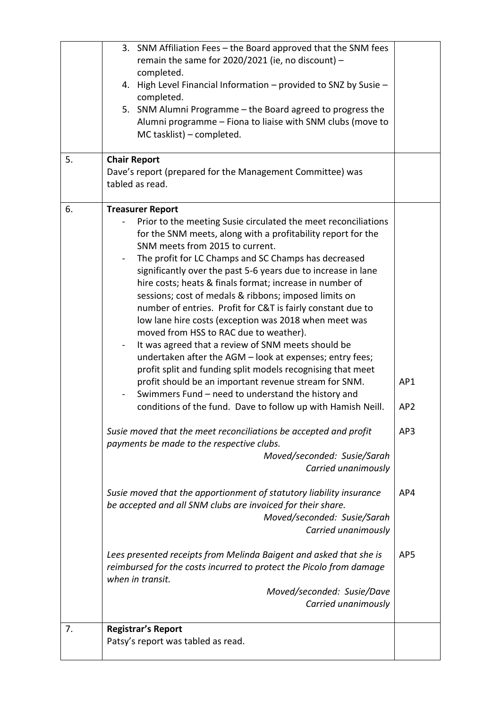| 5. | 3. SNM Affiliation Fees - the Board approved that the SNM fees<br>remain the same for 2020/2021 (ie, no discount) -<br>completed.<br>4. High Level Financial Information - provided to SNZ by Susie -<br>completed.<br>5. SNM Alumni Programme - the Board agreed to progress the<br>Alumni programme - Fiona to liaise with SNM clubs (move to<br>MC tasklist) - completed.<br><b>Chair Report</b><br>Dave's report (prepared for the Management Committee) was<br>tabled as read.                                                                                                                                                                                                                                                                                                                                                                                                                                                                                                                                                                                                                                                                                                                                                                                                                                                                                                                                                                                                   |                                             |
|----|---------------------------------------------------------------------------------------------------------------------------------------------------------------------------------------------------------------------------------------------------------------------------------------------------------------------------------------------------------------------------------------------------------------------------------------------------------------------------------------------------------------------------------------------------------------------------------------------------------------------------------------------------------------------------------------------------------------------------------------------------------------------------------------------------------------------------------------------------------------------------------------------------------------------------------------------------------------------------------------------------------------------------------------------------------------------------------------------------------------------------------------------------------------------------------------------------------------------------------------------------------------------------------------------------------------------------------------------------------------------------------------------------------------------------------------------------------------------------------------|---------------------------------------------|
|    | Prior to the meeting Susie circulated the meet reconciliations<br>for the SNM meets, along with a profitability report for the<br>SNM meets from 2015 to current.<br>The profit for LC Champs and SC Champs has decreased<br>significantly over the past 5-6 years due to increase in lane<br>hire costs; heats & finals format; increase in number of<br>sessions; cost of medals & ribbons; imposed limits on<br>number of entries. Profit for C&T is fairly constant due to<br>low lane hire costs (exception was 2018 when meet was<br>moved from HSS to RAC due to weather).<br>It was agreed that a review of SNM meets should be<br>undertaken after the AGM - look at expenses; entry fees;<br>profit split and funding split models recognising that meet<br>profit should be an important revenue stream for SNM.<br>Swimmers Fund - need to understand the history and<br>conditions of the fund. Dave to follow up with Hamish Neill.<br>Susie moved that the meet reconciliations be accepted and profit<br>payments be made to the respective clubs.<br>Moved/seconded: Susie/Sarah<br>Carried unanimously<br>Susie moved that the apportionment of statutory liability insurance<br>be accepted and all SNM clubs are invoiced for their share.<br>Moved/seconded: Susie/Sarah<br>Carried unanimously<br>Lees presented receipts from Melinda Baigent and asked that she is<br>reimbursed for the costs incurred to protect the Picolo from damage<br>when in transit. | AP1<br>AP <sub>2</sub><br>AP3<br>AP4<br>AP5 |
|    | Moved/seconded: Susie/Dave<br>Carried unanimously                                                                                                                                                                                                                                                                                                                                                                                                                                                                                                                                                                                                                                                                                                                                                                                                                                                                                                                                                                                                                                                                                                                                                                                                                                                                                                                                                                                                                                     |                                             |
| 7. | <b>Registrar's Report</b><br>Patsy's report was tabled as read.                                                                                                                                                                                                                                                                                                                                                                                                                                                                                                                                                                                                                                                                                                                                                                                                                                                                                                                                                                                                                                                                                                                                                                                                                                                                                                                                                                                                                       |                                             |